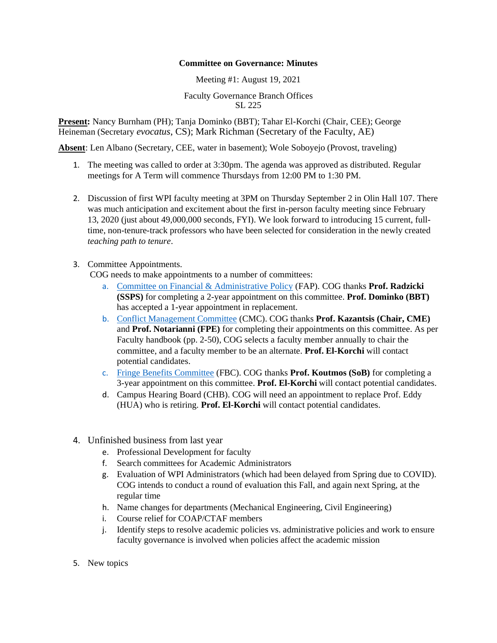## **Committee on Governance: Minutes**

## Meeting #1: August 19, 2021

## Faculty Governance Branch Offices SL 225

**Present:** Nancy Burnham (PH); Tanja Dominko (BBT); Tahar El-Korchi (Chair, CEE); George Heineman (Secretary *evocatus*, CS); Mark Richman (Secretary of the Faculty, AE)

**Absent**: Len Albano (Secretary, CEE, water in basement); Wole Soboyejo (Provost, traveling)

- 1. The meeting was called to order at 3:30pm. The agenda was approved as distributed. Regular meetings for A Term will commence Thursdays from 12:00 PM to 1:30 PM.
- 2. Discussion of first WPI faculty meeting at 3PM on Thursday September 2 in Olin Hall 107. There was much anticipation and excitement about the first in-person faculty meeting since February 13, 2020 (just about 49,000,000 seconds, FYI). We look forward to introducing 15 current, fulltime, non-tenure-track professors who have been selected for consideration in the newly created *teaching path to tenure*.
- 3. Committee Appointments.

COG needs to make appointments to a number of committees:

- a. [Committee on Financial & Administrative Policy](https://nam11.safelinks.protection.outlook.com/?url=https%3A%2F%2Fwww.wpi.edu%2Foffices%2Ffaculty-governance%2Ffap&data=04%7C01%7Cprock%40wpi.edu%7Cfd4fd04e0b0c4c7d371a08d968bae8ca%7C589c76f5ca1541f9884b55ec15a0672a%7C0%7C0%7C637655974363158123%7CUnknown%7CTWFpbGZsb3d8eyJWIjoiMC4wLjAwMDAiLCJQIjoiV2luMzIiLCJBTiI6Ik1haWwiLCJXVCI6Mn0%3D%7C1000&sdata=e33%2BwcfhMnwPv%2FPaCNB9%2BrGOwDvnJtxt4GjseWAyUMk%3D&reserved=0) (FAP). COG thanks **Prof. Radzicki (SSPS)** for completing a 2-year appointment on this committee. **Prof. Dominko (BBT)**  has accepted a 1-year appointment in replacement.
- b. [Conflict Management Committee](https://nam11.safelinks.protection.outlook.com/?url=https%3A%2F%2Fwww.wpi.edu%2Fabout%2Fpolicies%2Ffaculty-exempt-staff-conflict-of-interest&data=04%7C01%7Cprock%40wpi.edu%7Cfd4fd04e0b0c4c7d371a08d968bae8ca%7C589c76f5ca1541f9884b55ec15a0672a%7C0%7C0%7C637655974363168077%7CUnknown%7CTWFpbGZsb3d8eyJWIjoiMC4wLjAwMDAiLCJQIjoiV2luMzIiLCJBTiI6Ik1haWwiLCJXVCI6Mn0%3D%7C1000&sdata=keASusZ3bA7oGrSQxcBWN098SV5GgZO53fDkMyus0fI%3D&reserved=0) (CMC). COG thanks **Prof. Kazantsis (Chair, CME)** and **Prof. Notarianni (FPE)** for completing their appointments on this committee. As per Faculty handbook (pp. 2-50), COG selects a faculty member annually to chair the committee, and a faculty member to be an alternate. **Prof. El-Korchi** will contact potential candidates.
- c. [Fringe Benefits Committee](https://nam11.safelinks.protection.outlook.com/?url=https%3A%2F%2Fwww.wpi.edu%2Foffices%2Ffaculty-governance%2Ffbc&data=04%7C01%7Cprock%40wpi.edu%7Cfd4fd04e0b0c4c7d371a08d968bae8ca%7C589c76f5ca1541f9884b55ec15a0672a%7C0%7C0%7C637655974363168077%7CUnknown%7CTWFpbGZsb3d8eyJWIjoiMC4wLjAwMDAiLCJQIjoiV2luMzIiLCJBTiI6Ik1haWwiLCJXVCI6Mn0%3D%7C1000&sdata=%2F3EpC%2BOq4PJ5txwnO2VxBsq2keXRfJAoWHy1mlspDfg%3D&reserved=0) (FBC). COG thanks **Prof. Koutmos (SoB)** for completing a 3-year appointment on this committee. **Prof. El-Korchi** will contact potential candidates.
- d. Campus Hearing Board (CHB). COG will need an appointment to replace Prof. Eddy (HUA) who is retiring. **Prof. El-Korchi** will contact potential candidates.
- 4. Unfinished business from last year
	- e. Professional Development for faculty
	- f. Search committees for Academic Administrators
	- g. Evaluation of WPI Administrators (which had been delayed from Spring due to COVID). COG intends to conduct a round of evaluation this Fall, and again next Spring, at the regular time
	- h. Name changes for departments (Mechanical Engineering, Civil Engineering)
	- i. Course relief for COAP/CTAF members
	- j. Identify steps to resolve academic policies vs. administrative policies and work to ensure faculty governance is involved when policies affect the academic mission
- 5. New topics